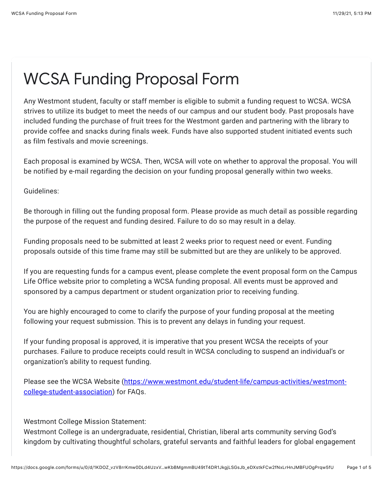## WCSA Funding Proposal Form

Any Westmont student, faculty or staff member is eligible to submit a funding request to WCSA. WCSA strives to utilize its budget to meet the needs of our campus and our student body. Past proposals have included funding the purchase of fruit trees for the Westmont garden and partnering with the library to provide coffee and snacks during finals week. Funds have also supported student initiated events such as film festivals and movie screenings.

Each proposal is examined by WCSA. Then, WCSA will vote on whether to approval the proposal. You will be notified by e-mail regarding the decision on your funding proposal generally within two weeks.

Guidelines:

Be thorough in filling out the funding proposal form. Please provide as much detail as possible regarding the purpose of the request and funding desired. Failure to do so may result in a delay.

Funding proposals need to be submitted at least 2 weeks prior to request need or event. Funding proposals outside of this time frame may still be submitted but are they are unlikely to be approved.

If you are requesting funds for a campus event, please complete the event proposal form on the Campus Life Office website prior to completing a WCSA funding proposal. All events must be approved and sponsored by a campus department or student organization prior to receiving funding.

You are highly encouraged to come to clarify the purpose of your funding proposal at the meeting following your request submission. This is to prevent any delays in funding your request.

If your funding proposal is approved, it is imperative that you present WCSA the receipts of your purchases. Failure to produce receipts could result in WCSA concluding to suspend an individual's or organization's ability to request funding.

[Please see the WCSA Website \(https://www.westmont.edu/student-life/campus-activities/westmont](https://www.google.com/url?q=https://www.westmont.edu/student-life/campus-activities/westmont-college-student-association&sa=D&source=editors&ust=1638238410235000&usg=AOvVaw04bJkU2q7EFgnTrZ3aAjJ2)college-student-association) for FAQs.

Westmont College Mission Statement:

Westmont College is an undergraduate, residential, Christian, liberal arts community serving God's kingdom by cultivating thoughtful scholars, grateful servants and faithful leaders for global engagement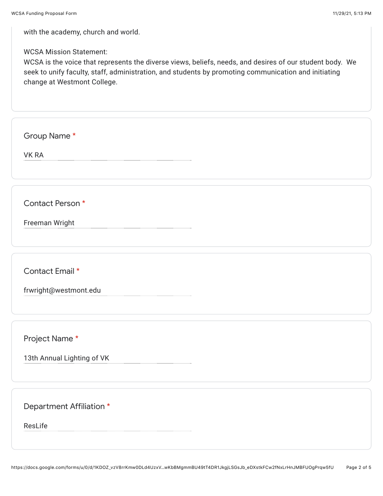with the academy, church and world.

WCSA Mission Statement:

WCSA is the voice that represents the diverse views, beliefs, needs, and desires of our student body. We seek to unify faculty, staff, administration, and students by promoting communication and initiating change at Westmont College.

Group Name \*

VK RA

Contact Person \*

Freeman Wright

Contact Email \*

frwright@westmont.edu

Project Name \*

13th Annual Lighting of VK

Department Affiliation \*

ResLife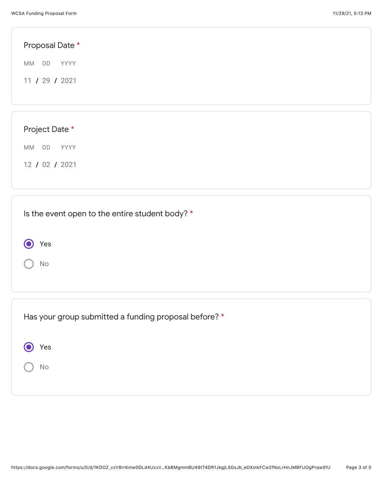| Proposal Date *                                 |  |  |
|-------------------------------------------------|--|--|
| MM DD YYYY                                      |  |  |
| 11 / 29 / 2021                                  |  |  |
|                                                 |  |  |
|                                                 |  |  |
| Project Date *                                  |  |  |
| MM DD<br>YYYY                                   |  |  |
| 12 / 02 / 2021                                  |  |  |
|                                                 |  |  |
|                                                 |  |  |
| Is the event open to the entire student body? * |  |  |
| Yes                                             |  |  |

Has your group submitted a funding proposal before? \*

| (O) Yes |
|---------|
| ) No    |

No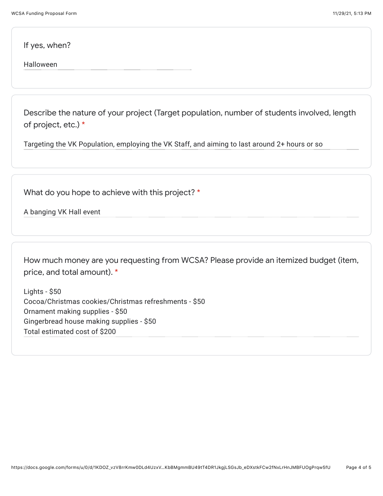If yes, when?

Halloween

Describe the nature of your project (Target population, number of students involved, length of project, etc.) \*

Targeting the VK Population, employing the VK Staff, and aiming to last around 2+ hours or so

What do you hope to achieve with this project? \*

A banging VK Hall event

How much money are you requesting from WCSA? Please provide an itemized budget (item, price, and total amount). \*

Lights - \$50 Cocoa/Christmas cookies/Christmas refreshments - \$50 Ornament making supplies - \$50 Gingerbread house making supplies - \$50 Total estimated cost of \$200